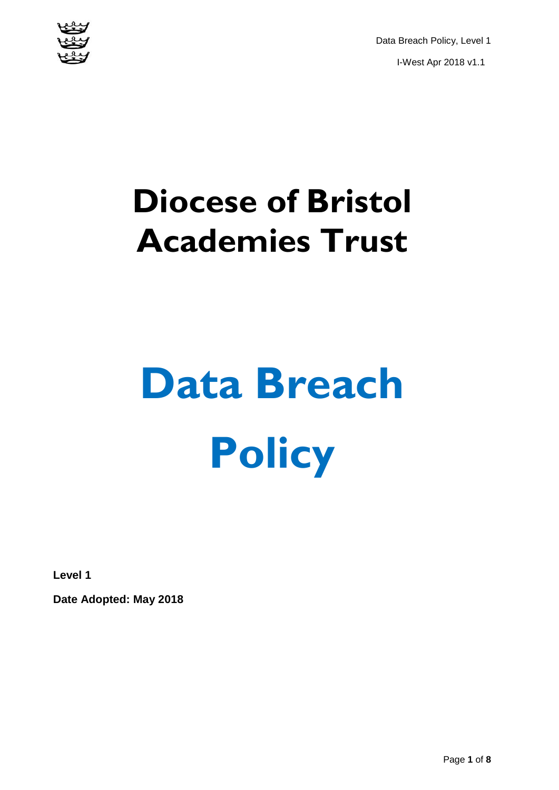

Data Breach Policy, Level 1 I-West Apr 2018 v1.1

# **Diocese of Bristol Academies Trust**

# **Data Breach Policy**

**Level 1**

**Date Adopted: May 2018**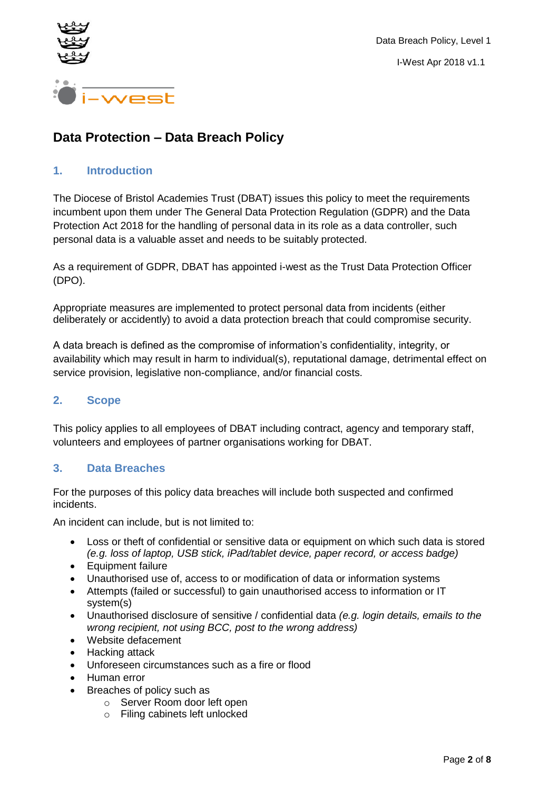

### **Data Protection – Data Breach Policy**

#### **1. Introduction**

The Diocese of Bristol Academies Trust (DBAT) issues this policy to meet the requirements incumbent upon them under The General Data Protection Regulation (GDPR) and the Data Protection Act 2018 for the handling of personal data in its role as a data controller, such personal data is a valuable asset and needs to be suitably protected.

As a requirement of GDPR, DBAT has appointed i-west as the Trust Data Protection Officer (DPO).

Appropriate measures are implemented to protect personal data from incidents (either deliberately or accidently) to avoid a data protection breach that could compromise security.

A data breach is defined as the compromise of information's confidentiality, integrity, or availability which may result in harm to individual(s), reputational damage, detrimental effect on service provision, legislative non-compliance, and/or financial costs.

#### **2. Scope**

This policy applies to all employees of DBAT including contract, agency and temporary staff, volunteers and employees of partner organisations working for DBAT.

#### **3. Data Breaches**

For the purposes of this policy data breaches will include both suspected and confirmed incidents.

An incident can include, but is not limited to:

- Loss or theft of confidential or sensitive data or equipment on which such data is stored *(e.g. loss of laptop, USB stick, iPad/tablet device, paper record, or access badge)*
- Equipment failure
- Unauthorised use of, access to or modification of data or information systems
- Attempts (failed or successful) to gain unauthorised access to information or IT system(s)
- Unauthorised disclosure of sensitive / confidential data *(e.g. login details, emails to the wrong recipient, not using BCC, post to the wrong address)*
- Website defacement
- Hacking attack
- Unforeseen circumstances such as a fire or flood
- Human error
- Breaches of policy such as
	- o Server Room door left open
	- o Filing cabinets left unlocked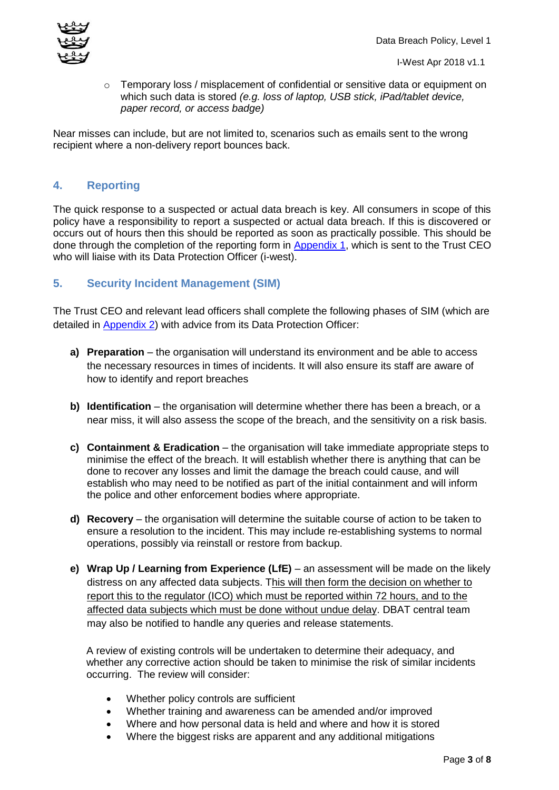$\circ$  Temporary loss / misplacement of confidential or sensitive data or equipment on which such data is stored *(e.g. loss of laptop, USB stick, iPad/tablet device, paper record, or access badge)* 

Near misses can include, but are not limited to, scenarios such as emails sent to the wrong recipient where a non-delivery report bounces back.

#### **4. Reporting**

The quick response to a suspected or actual data breach is key. All consumers in scope of this policy have a responsibility to report a suspected or actual data breach. If this is discovered or occurs out of hours then this should be reported as soon as practically possible. This should be done through the completion of the reporting form in [Appendix 1,](#page-4-0) which is sent to the Trust CEO who will liaise with its Data Protection Officer (i-west).

#### **5. Security Incident Management (SIM)**

The Trust CEO and relevant lead officers shall complete the following phases of SIM (which are detailed in [Appendix 2\)](#page-6-0) with advice from its Data Protection Officer:

- **a) Preparation** the organisation will understand its environment and be able to access the necessary resources in times of incidents. It will also ensure its staff are aware of how to identify and report breaches
- **b) Identification** the organisation will determine whether there has been a breach, or a near miss, it will also assess the scope of the breach, and the sensitivity on a risk basis.
- **c) Containment & Eradication** the organisation will take immediate appropriate steps to minimise the effect of the breach. It will establish whether there is anything that can be done to recover any losses and limit the damage the breach could cause, and will establish who may need to be notified as part of the initial containment and will inform the police and other enforcement bodies where appropriate.
- **d) Recovery** the organisation will determine the suitable course of action to be taken to ensure a resolution to the incident. This may include re-establishing systems to normal operations, possibly via reinstall or restore from backup.
- **e) Wrap Up / Learning from Experience (LfE)** an assessment will be made on the likely distress on any affected data subjects. This will then form the decision on whether to report this to the regulator (ICO) which must be reported within 72 hours, and to the affected data subjects which must be done without undue delay. DBAT central team may also be notified to handle any queries and release statements.

A review of existing controls will be undertaken to determine their adequacy, and whether any corrective action should be taken to minimise the risk of similar incidents occurring. The review will consider:

- Whether policy controls are sufficient
- Whether training and awareness can be amended and/or improved
- Where and how personal data is held and where and how it is stored
- Where the biggest risks are apparent and any additional mitigations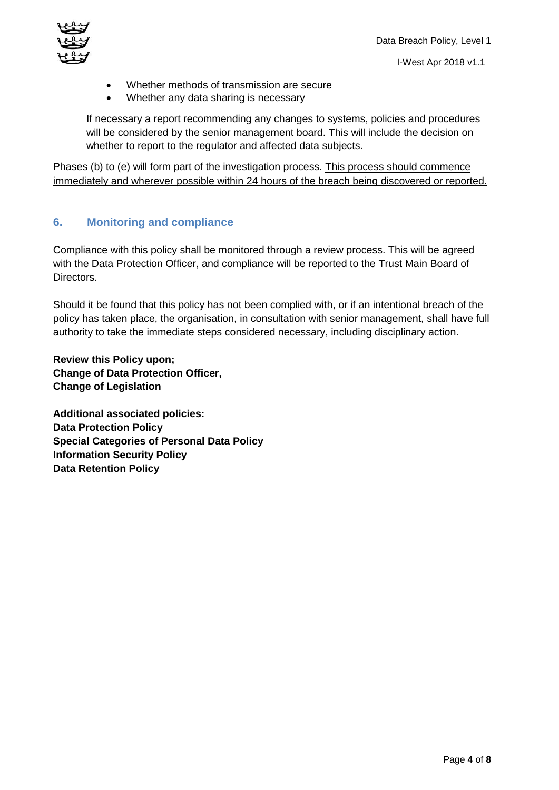

- I-West Apr 2018 v1.1
- Whether methods of transmission are secure
- Whether any data sharing is necessary

If necessary a report recommending any changes to systems, policies and procedures will be considered by the senior management board. This will include the decision on whether to report to the regulator and affected data subjects.

Phases (b) to (e) will form part of the investigation process. This process should commence immediately and wherever possible within 24 hours of the breach being discovered or reported.

#### **6. Monitoring and compliance**

Compliance with this policy shall be monitored through a review process. This will be agreed with the Data Protection Officer, and compliance will be reported to the Trust Main Board of Directors.

Should it be found that this policy has not been complied with, or if an intentional breach of the policy has taken place, the organisation, in consultation with senior management, shall have full authority to take the immediate steps considered necessary, including disciplinary action.

**Review this Policy upon; Change of Data Protection Officer, Change of Legislation**

**Additional associated policies: Data Protection Policy Special Categories of Personal Data Policy Information Security Policy Data Retention Policy**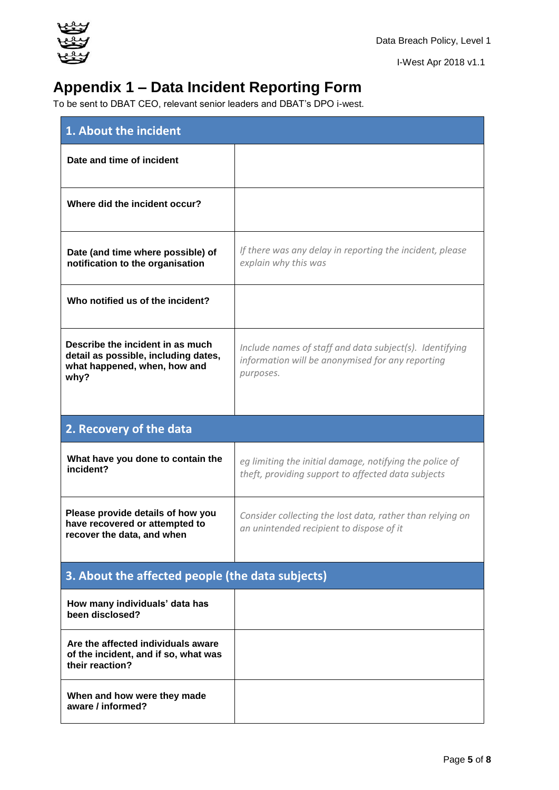

I-West Apr 2018 v1.1

# **Appendix 1 – Data Incident Reporting Form**

To be sent to DBAT CEO, relevant senior leaders and DBAT's DPO i-west.

<span id="page-4-0"></span>

| 1. About the incident                                                                                            |                                                                                                                          |  |
|------------------------------------------------------------------------------------------------------------------|--------------------------------------------------------------------------------------------------------------------------|--|
| Date and time of incident                                                                                        |                                                                                                                          |  |
| Where did the incident occur?                                                                                    |                                                                                                                          |  |
| Date (and time where possible) of<br>notification to the organisation                                            | If there was any delay in reporting the incident, please<br>explain why this was                                         |  |
| Who notified us of the incident?                                                                                 |                                                                                                                          |  |
| Describe the incident in as much<br>detail as possible, including dates,<br>what happened, when, how and<br>why? | Include names of staff and data subject(s). Identifying<br>information will be anonymised for any reporting<br>purposes. |  |
| 2. Recovery of the data                                                                                          |                                                                                                                          |  |
| What have you done to contain the<br>incident?                                                                   | eg limiting the initial damage, notifying the police of<br>theft, providing support to affected data subjects            |  |
| Please provide details of how you<br>have recovered or attempted to<br>recover the data, and when                | Consider collecting the lost data, rather than relying on<br>an unintended recipient to dispose of it                    |  |
| 3. About the affected people (the data subjects)                                                                 |                                                                                                                          |  |
| How many individuals' data has<br>been disclosed?                                                                |                                                                                                                          |  |
| Are the affected individuals aware<br>of the incident, and if so, what was<br>their reaction?                    |                                                                                                                          |  |
| When and how were they made<br>aware / informed?                                                                 |                                                                                                                          |  |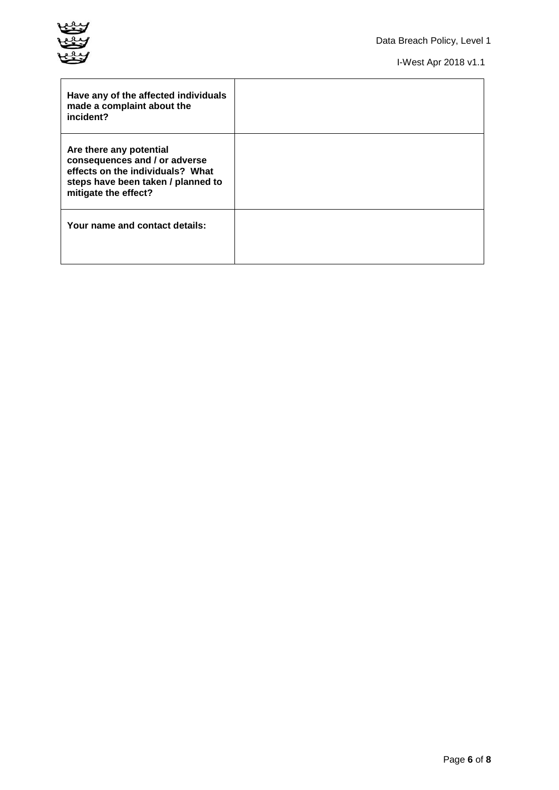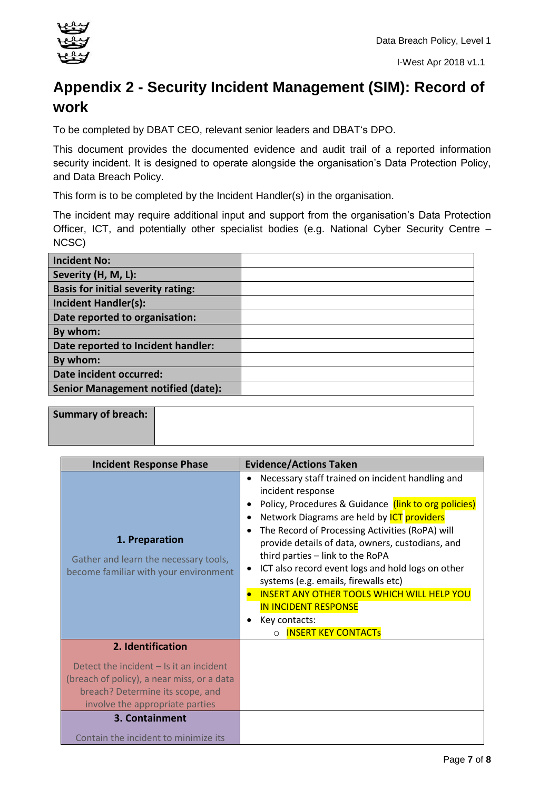

## <span id="page-6-0"></span>**Appendix 2 - Security Incident Management (SIM): Record of work**

To be completed by DBAT CEO, relevant senior leaders and DBAT's DPO.

This document provides the documented evidence and audit trail of a reported information security incident. It is designed to operate alongside the organisation's Data Protection Policy, and Data Breach Policy.

This form is to be completed by the Incident Handler(s) in the organisation.

The incident may require additional input and support from the organisation's Data Protection Officer, ICT, and potentially other specialist bodies (e.g. National Cyber Security Centre – NCSC)

| <b>Incident No:</b>                       |  |
|-------------------------------------------|--|
| Severity (H, M, L):                       |  |
| <b>Basis for initial severity rating:</b> |  |
| <b>Incident Handler(s):</b>               |  |
| Date reported to organisation:            |  |
| By whom:                                  |  |
| Date reported to Incident handler:        |  |
| By whom:                                  |  |
| Date incident occurred:                   |  |
| <b>Senior Management notified (date):</b> |  |
|                                           |  |

**Summary of breach:**

| <b>Incident Response Phase</b>                                                                                                                                 | <b>Evidence/Actions Taken</b>                                                                                                                                                                                                                                                                                                                                                                                                                                                                                                                                                                                     |
|----------------------------------------------------------------------------------------------------------------------------------------------------------------|-------------------------------------------------------------------------------------------------------------------------------------------------------------------------------------------------------------------------------------------------------------------------------------------------------------------------------------------------------------------------------------------------------------------------------------------------------------------------------------------------------------------------------------------------------------------------------------------------------------------|
| 1. Preparation<br>Gather and learn the necessary tools,<br>become familiar with your environment                                                               | Necessary staff trained on incident handling and<br>$\bullet$<br>incident response<br>Policy, Procedures & Guidance (link to org policies)<br>Network Diagrams are held by <b>ICT</b> providers<br>$\bullet$<br>The Record of Processing Activities (RoPA) will<br>$\bullet$<br>provide details of data, owners, custodians, and<br>third parties - link to the RoPA<br>ICT also record event logs and hold logs on other<br>$\bullet$<br>systems (e.g. emails, firewalls etc)<br><b>INSERT ANY OTHER TOOLS WHICH WILL HELP YOU</b><br><b>IN INCIDENT RESPONSE</b><br>Key contacts:<br><b>INSERT KEY CONTACTS</b> |
| 2. Identification                                                                                                                                              |                                                                                                                                                                                                                                                                                                                                                                                                                                                                                                                                                                                                                   |
| Detect the incident $-$ Is it an incident<br>(breach of policy), a near miss, or a data<br>breach? Determine its scope, and<br>involve the appropriate parties |                                                                                                                                                                                                                                                                                                                                                                                                                                                                                                                                                                                                                   |
| 3. Containment                                                                                                                                                 |                                                                                                                                                                                                                                                                                                                                                                                                                                                                                                                                                                                                                   |
| Contain the incident to minimize its                                                                                                                           |                                                                                                                                                                                                                                                                                                                                                                                                                                                                                                                                                                                                                   |